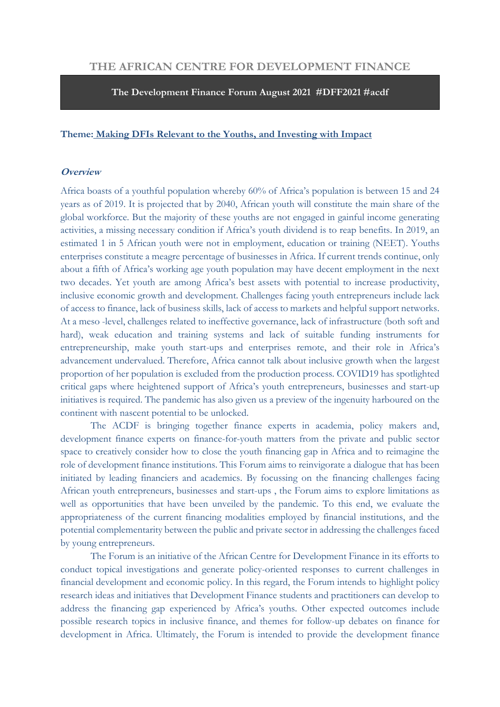# **THE AFRICAN CENTRE FOR DEVELOPMENT FINANCE**

**The Development Finance Forum August 2021 #DFF2021 #acdf**

#### **Theme: Making DFIs Relevant to the Youths, and Investing with Impact**

#### **Overview**

Africa boasts of a youthful population whereby 60% of Africa's population is between 15 and 24 years as of 2019. It is projected that by 2040, African youth will constitute the main share of the global workforce. But the majority of these youths are not engaged in gainful income generating activities, a missing necessary condition if Africa's youth dividend is to reap benefits. In 2019, an estimated 1 in 5 African youth were not in employment, education or training (NEET). Youths enterprises constitute a meagre percentage of businesses in Africa. If current trends continue, only about a fifth of Africa's working age youth population may have decent employment in the next two decades. Yet youth are among Africa's best assets with potential to increase productivity, inclusive economic growth and development. Challenges facing youth entrepreneurs include lack of access to finance, lack of business skills, lack of access to markets and helpful support networks. At a meso -level, challenges related to ineffective governance, lack of infrastructure (both soft and hard), weak education and training systems and lack of suitable funding instruments for entrepreneurship, make youth start-ups and enterprises remote, and their role in Africa's advancement undervalued. Therefore, Africa cannot talk about inclusive growth when the largest proportion of her population is excluded from the production process. COVID19 has spotlighted critical gaps where heightened support of Africa's youth entrepreneurs, businesses and start-up initiatives is required. The pandemic has also given us a preview of the ingenuity harboured on the continent with nascent potential to be unlocked.

The ACDF is bringing together finance experts in academia, policy makers and, development finance experts on finance-for-youth matters from the private and public sector space to creatively consider how to close the youth financing gap in Africa and to reimagine the role of development finance institutions. This Forum aims to reinvigorate a dialogue that has been initiated by leading financiers and academics. By focussing on the financing challenges facing African youth entrepreneurs, businesses and start-ups , the Forum aims to explore limitations as well as opportunities that have been unveiled by the pandemic. To this end, we evaluate the appropriateness of the current financing modalities employed by financial institutions, and the potential complementarity between the public and private sector in addressing the challenges faced by young entrepreneurs.

The Forum is an initiative of the African Centre for Development Finance in its efforts to conduct topical investigations and generate policy-oriented responses to current challenges in financial development and economic policy. In this regard, the Forum intends to highlight policy research ideas and initiatives that Development Finance students and practitioners can develop to address the financing gap experienced by Africa's youths. Other expected outcomes include possible research topics in inclusive finance, and themes for follow-up debates on finance for development in Africa. Ultimately, the Forum is intended to provide the development finance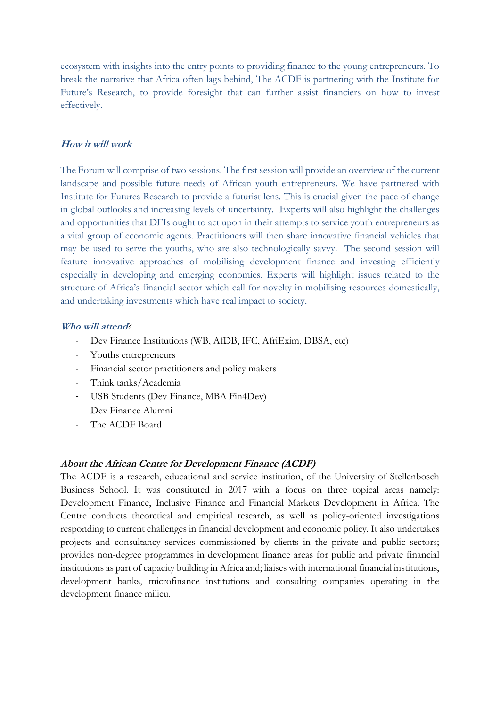ecosystem with insights into the entry points to providing finance to the young entrepreneurs. To break the narrative that Africa often lags behind, The ACDF is partnering with the Institute for Future's Research, to provide foresight that can further assist financiers on how to invest effectively.

## **How it will work**

The Forum will comprise of two sessions. The first session will provide an overview of the current landscape and possible future needs of African youth entrepreneurs. We have partnered with Institute for Futures Research to provide a futurist lens. This is crucial given the pace of change in global outlooks and increasing levels of uncertainty. Experts will also highlight the challenges and opportunities that DFIs ought to act upon in their attempts to service youth entrepreneurs as a vital group of economic agents. Practitioners will then share innovative financial vehicles that may be used to serve the youths, who are also technologically savvy. The second session will feature innovative approaches of mobilising development finance and investing efficiently especially in developing and emerging economies. Experts will highlight issues related to the structure of Africa's financial sector which call for novelty in mobilising resources domestically, and undertaking investments which have real impact to society.

#### **Who will attend***?*

- Dev Finance Institutions (WB, AfDB, IFC, AfriExim, DBSA, etc)
- Youths entrepreneurs
- Financial sector practitioners and policy makers
- Think tanks/Academia
- USB Students (Dev Finance, MBA Fin4Dev)
- Dev Finance Alumni
- The ACDF Board

## **About the African Centre for Development Finance (ACDF)**

The ACDF is a research, educational and service institution, of the University of Stellenbosch Business School. It was constituted in 2017 with a focus on three topical areas namely: Development Finance, Inclusive Finance and Financial Markets Development in Africa. The Centre conducts theoretical and empirical research, as well as policy-oriented investigations responding to current challenges in financial development and economic policy. It also undertakes projects and consultancy services commissioned by clients in the private and public sectors; provides non-degree programmes in development finance areas for public and private financial institutions as part of capacity building in Africa and; liaises with international financial institutions, development banks, microfinance institutions and consulting companies operating in the development finance milieu.